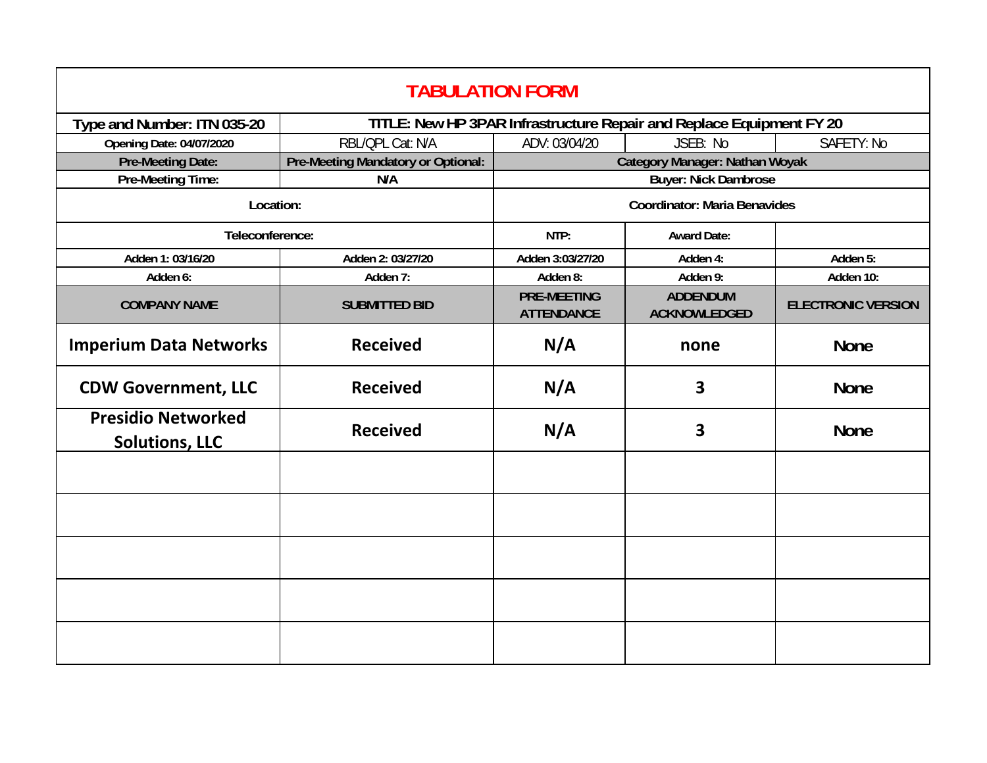| <b>TABULATION FORM</b>                             |                                    |                                                                      |                                        |                           |  |  |
|----------------------------------------------------|------------------------------------|----------------------------------------------------------------------|----------------------------------------|---------------------------|--|--|
| Type and Number: ITN 035-20                        |                                    | TITLE: New HP 3PAR Infrastructure Repair and Replace Equipment FY 20 |                                        |                           |  |  |
| <b>Opening Date: 04/07/2020</b>                    | RBL/QPL Cat: N/A                   | ADV: 03/04/20                                                        | JSEB: No                               | SAFETY: No                |  |  |
| <b>Pre-Meeting Date:</b>                           | Pre-Meeting Mandatory or Optional: | Category Manager: Nathan Woyak                                       |                                        |                           |  |  |
| Pre-Meeting Time:                                  | N/A                                | <b>Buyer: Nick Dambrose</b>                                          |                                        |                           |  |  |
| Location:                                          |                                    | <b>Coordinator: Maria Benavides</b>                                  |                                        |                           |  |  |
| Teleconference:                                    |                                    | NTP:                                                                 | <b>Award Date:</b>                     |                           |  |  |
| Adden 1: 03/16/20                                  | Adden 2: 03/27/20                  | Adden 3:03/27/20                                                     | Adden 4:                               | Adden 5:                  |  |  |
| Adden 6:                                           | Adden 7:                           | Adden 8:                                                             | Adden 9:                               | Adden 10:                 |  |  |
| <b>COMPANY NAME</b>                                | <b>SUBMITTED BID</b>               | <b>PRE-MEETING</b><br><b>ATTENDANCE</b>                              | <b>ADDENDUM</b><br><b>ACKNOWLEDGED</b> | <b>ELECTRONIC VERSION</b> |  |  |
| <b>Imperium Data Networks</b>                      | <b>Received</b>                    | N/A                                                                  | none                                   | <b>None</b>               |  |  |
| <b>CDW Government, LLC</b>                         | <b>Received</b>                    | N/A                                                                  | 3                                      | <b>None</b>               |  |  |
| <b>Presidio Networked</b><br><b>Solutions, LLC</b> | <b>Received</b>                    | N/A                                                                  | 3                                      | <b>None</b>               |  |  |
|                                                    |                                    |                                                                      |                                        |                           |  |  |
|                                                    |                                    |                                                                      |                                        |                           |  |  |
|                                                    |                                    |                                                                      |                                        |                           |  |  |
|                                                    |                                    |                                                                      |                                        |                           |  |  |
|                                                    |                                    |                                                                      |                                        |                           |  |  |